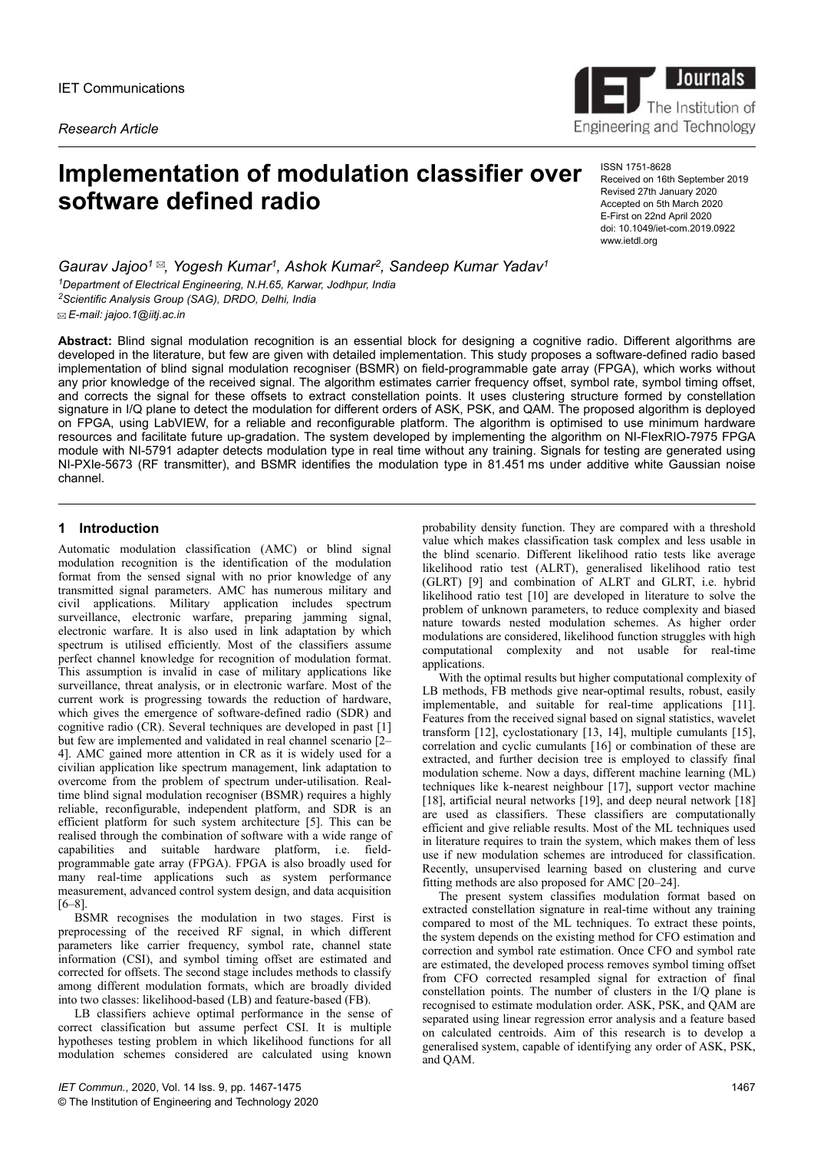*Research Article*



# **Implementation of modulation classifier over software defined radio**

ISSN 1751-8628 Received on 16th September 2019 Revised 27th January 2020 Accepted on 5th March 2020 E-First on 22nd April 2020 doi: 10.1049/iet-com.2019.0922 www.ietdl.org

*Gaurav Jajoo<sup>1</sup> , Yogesh Kumar<sup>1</sup> , Ashok Kumar<sup>2</sup> , Sandeep Kumar Yadav<sup>1</sup> <sup>1</sup>Department of Electrical Engineering, N.H.65, Karwar, Jodhpur, India <sup>2</sup>Scientific Analysis Group (SAG), DRDO, Delhi, India E-mail: jajoo.1@iitj.ac.in*

**Abstract:** Blind signal modulation recognition is an essential block for designing a cognitive radio. Different algorithms are developed in the literature, but few are given with detailed implementation. This study proposes a software-defined radio based implementation of blind signal modulation recogniser (BSMR) on field-programmable gate array (FPGA), which works without any prior knowledge of the received signal. The algorithm estimates carrier frequency offset, symbol rate, symbol timing offset, and corrects the signal for these offsets to extract constellation points. It uses clustering structure formed by constellation signature in I/Q plane to detect the modulation for different orders of ASK, PSK, and QAM. The proposed algorithm is deployed on FPGA, using LabVIEW, for a reliable and reconfigurable platform. The algorithm is optimised to use minimum hardware resources and facilitate future up-gradation. The system developed by implementing the algorithm on NI-FlexRIO-7975 FPGA module with NI-5791 adapter detects modulation type in real time without any training. Signals for testing are generated using NI-PXIe-5673 (RF transmitter), and BSMR identifies the modulation type in 81.451 ms under additive white Gaussian noise channel.

# **1 Introduction**

Automatic modulation classification (AMC) or blind signal modulation recognition is the identification of the modulation format from the sensed signal with no prior knowledge of any transmitted signal parameters. AMC has numerous military and civil applications. Military application includes spectrum surveillance, electronic warfare, preparing jamming signal, electronic warfare. It is also used in link adaptation by which spectrum is utilised efficiently. Most of the classifiers assume perfect channel knowledge for recognition of modulation format. This assumption is invalid in case of military applications like surveillance, threat analysis, or in electronic warfare. Most of the current work is progressing towards the reduction of hardware, which gives the emergence of software-defined radio (SDR) and cognitive radio (CR). Several techniques are developed in past [1] but few are implemented and validated in real channel scenario [2– 4]. AMC gained more attention in CR as it is widely used for a civilian application like spectrum management, link adaptation to overcome from the problem of spectrum under-utilisation. Realtime blind signal modulation recogniser (BSMR) requires a highly reliable, reconfigurable, independent platform, and SDR is an efficient platform for such system architecture [5]. This can be realised through the combination of software with a wide range of capabilities and suitable hardware platform, i.e. fieldprogrammable gate array (FPGA). FPGA is also broadly used for many real-time applications such as system performance measurement, advanced control system design, and data acquisition [6–8].

BSMR recognises the modulation in two stages. First is preprocessing of the received RF signal, in which different parameters like carrier frequency, symbol rate, channel state information (CSI), and symbol timing offset are estimated and corrected for offsets. The second stage includes methods to classify among different modulation formats, which are broadly divided into two classes: likelihood-based (LB) and feature-based (FB).

LB classifiers achieve optimal performance in the sense of correct classification but assume perfect CSI. It is multiple hypotheses testing problem in which likelihood functions for all modulation schemes considered are calculated using known

probability density function. They are compared with a threshold value which makes classification task complex and less usable in the blind scenario. Different likelihood ratio tests like average likelihood ratio test (ALRT), generalised likelihood ratio test (GLRT) [9] and combination of ALRT and GLRT, i.e. hybrid likelihood ratio test [10] are developed in literature to solve the problem of unknown parameters, to reduce complexity and biased nature towards nested modulation schemes. As higher order modulations are considered, likelihood function struggles with high computational complexity and not usable for real-time applications.

With the optimal results but higher computational complexity of LB methods, FB methods give near-optimal results, robust, easily implementable, and suitable for real-time applications [11]. Features from the received signal based on signal statistics, wavelet transform [12], cyclostationary [13, 14], multiple cumulants [15], correlation and cyclic cumulants [16] or combination of these are extracted, and further decision tree is employed to classify final modulation scheme. Now a days, different machine learning (ML) techniques like k-nearest neighbour [17], support vector machine [18], artificial neural networks [19], and deep neural network [18] are used as classifiers. These classifiers are computationally efficient and give reliable results. Most of the ML techniques used in literature requires to train the system, which makes them of less use if new modulation schemes are introduced for classification. Recently, unsupervised learning based on clustering and curve fitting methods are also proposed for AMC [20–24].

The present system classifies modulation format based on extracted constellation signature in real-time without any training compared to most of the ML techniques. To extract these points, the system depends on the existing method for CFO estimation and correction and symbol rate estimation. Once CFO and symbol rate are estimated, the developed process removes symbol timing offset from CFO corrected resampled signal for extraction of final constellation points. The number of clusters in the I/Q plane is recognised to estimate modulation order. ASK, PSK, and QAM are separated using linear regression error analysis and a feature based on calculated centroids. Aim of this research is to develop a generalised system, capable of identifying any order of ASK, PSK, and QAM.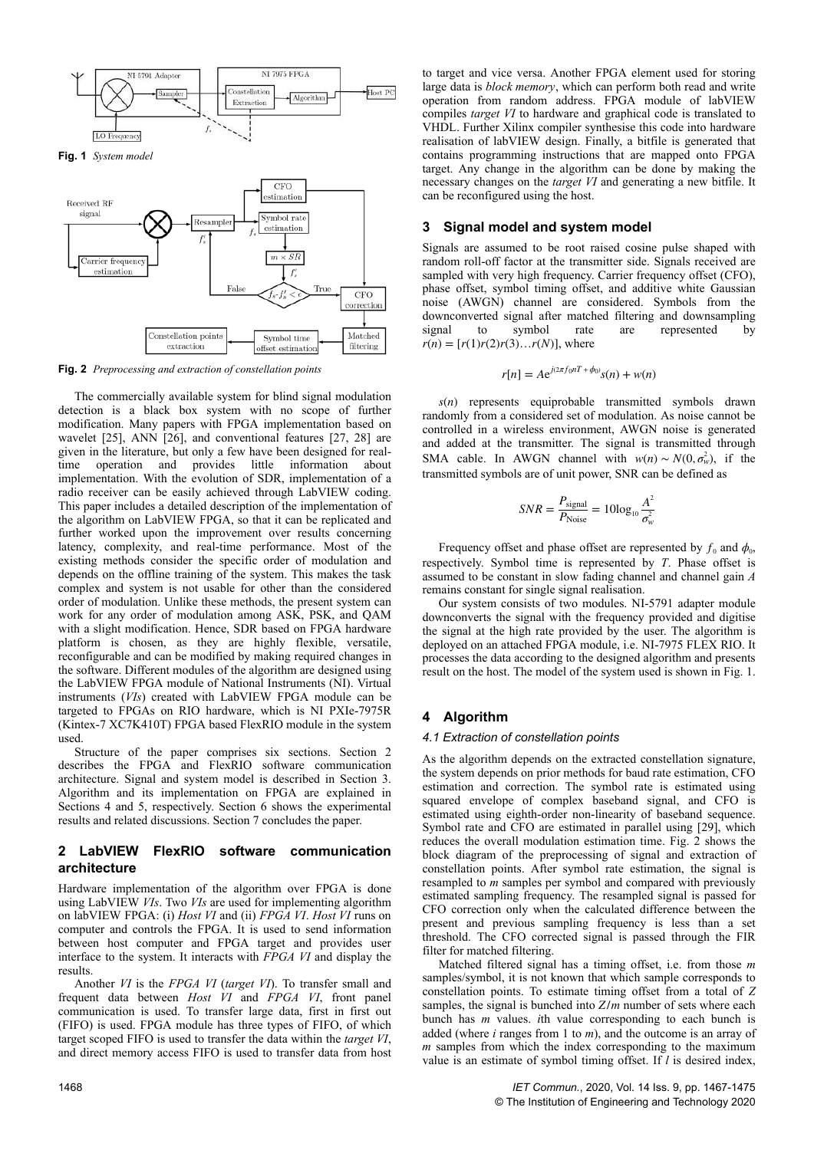

**Fig. 2** *Preprocessing and extraction of constellation points*

The commercially available system for blind signal modulation detection is a black box system with no scope of further modification. Many papers with FPGA implementation based on wavelet [25], ANN [26], and conventional features [27, 28] are given in the literature, but only a few have been designed for realtime operation and provides little information about implementation. With the evolution of SDR, implementation of a radio receiver can be easily achieved through LabVIEW coding. This paper includes a detailed description of the implementation of the algorithm on LabVIEW FPGA, so that it can be replicated and further worked upon the improvement over results concerning latency, complexity, and real-time performance. Most of the existing methods consider the specific order of modulation and depends on the offline training of the system. This makes the task complex and system is not usable for other than the considered order of modulation. Unlike these methods, the present system can work for any order of modulation among ASK, PSK, and QAM with a slight modification. Hence, SDR based on FPGA hardware platform is chosen, as they are highly flexible, versatile, reconfigurable and can be modified by making required changes in the software. Different modules of the algorithm are designed using the LabVIEW FPGA module of National Instruments (NI). Virtual instruments (*VIs*) created with LabVIEW FPGA module can be targeted to FPGAs on RIO hardware, which is NI PXIe-7975R (Kintex-7 XC7K410T) FPGA based FlexRIO module in the system used.

Structure of the paper comprises six sections. Section 2 describes the FPGA and FlexRIO software communication architecture. Signal and system model is described in Section 3. Algorithm and its implementation on FPGA are explained in Sections 4 and 5, respectively. Section 6 shows the experimental results and related discussions. Section 7 concludes the paper.

## **2 LabVIEW FlexRIO software communication architecture**

Hardware implementation of the algorithm over FPGA is done using LabVIEW *VIs*. Two *VIs* are used for implementing algorithm on labVIEW FPGA: (i) *Host VI* and (ii) *FPGA VI*. *Host VI* runs on computer and controls the FPGA. It is used to send information between host computer and FPGA target and provides user interface to the system. It interacts with *FPGA VI* and display the results.

Another *VI* is the *FPGA VI* (*target VI*). To transfer small and frequent data between *Host VI* and *FPGA VI*, front panel communication is used. To transfer large data, first in first out (FIFO) is used. FPGA module has three types of FIFO, of which target scoped FIFO is used to transfer the data within the *target VI*, and direct memory access FIFO is used to transfer data from host to target and vice versa. Another FPGA element used for storing large data is *block memory*, which can perform both read and write operation from random address. FPGA module of labVIEW compiles *target VI* to hardware and graphical code is translated to VHDL. Further Xilinx compiler synthesise this code into hardware realisation of labVIEW design. Finally, a bitfile is generated that contains programming instructions that are mapped onto FPGA target. Any change in the algorithm can be done by making the necessary changes on the *target VI* and generating a new bitfile. It can be reconfigured using the host.

### **3 Signal model and system model**

Signals are assumed to be root raised cosine pulse shaped with random roll-off factor at the transmitter side. Signals received are sampled with very high frequency. Carrier frequency offset (CFO), phase offset, symbol timing offset, and additive white Gaussian noise (AWGN) channel are considered. Symbols from the downconverted signal after matched filtering and downsampling signal to symbol rate are represented by  $r(n) = [r(1)r(2)r(3)...r(N)]$ , where

$$
r[n] = Ae^{j(2\pi f_0 nT + \phi_0)}s(n) + w(n)
$$

*s*(*n*) represents equiprobable transmitted symbols drawn randomly from a considered set of modulation. As noise cannot be controlled in a wireless environment, AWGN noise is generated and added at the transmitter. The signal is transmitted through SMA cable. In AWGN channel with  $w(n) \sim N(0, \sigma_w^2)$ , if the transmitted symbols are of unit power, SNR can be defined as

$$
SNR = \frac{P_{\text{signal}}}{P_{\text{Noise}}} = 10\log_{10}\frac{A^2}{\sigma_w^2}
$$

Frequency offset and phase offset are represented by  $f_0$  and  $\phi_0$ , respectively. Symbol time is represented by *T*. Phase offset is assumed to be constant in slow fading channel and channel gain *A* remains constant for single signal realisation.

Our system consists of two modules. NI-5791 adapter module downconverts the signal with the frequency provided and digitise the signal at the high rate provided by the user. The algorithm is deployed on an attached FPGA module, i.e. NI-7975 FLEX RIO. It processes the data according to the designed algorithm and presents result on the host. The model of the system used is shown in Fig. 1.

## **4 Algorithm**

#### *4.1 Extraction of constellation points*

As the algorithm depends on the extracted constellation signature, the system depends on prior methods for baud rate estimation, CFO estimation and correction. The symbol rate is estimated using squared envelope of complex baseband signal, and CFO is estimated using eighth-order non-linearity of baseband sequence. Symbol rate and CFO are estimated in parallel using [29], which reduces the overall modulation estimation time. Fig. 2 shows the block diagram of the preprocessing of signal and extraction of constellation points. After symbol rate estimation, the signal is resampled to *m* samples per symbol and compared with previously estimated sampling frequency. The resampled signal is passed for CFO correction only when the calculated difference between the present and previous sampling frequency is less than a set threshold. The CFO corrected signal is passed through the FIR filter for matched filtering.

Matched filtered signal has a timing offset, i.e. from those *m* samples/symbol, it is not known that which sample corresponds to constellation points. To estimate timing offset from a total of *Z* samples, the signal is bunched into *Z*/*m* number of sets where each bunch has *m* values. *i*th value corresponding to each bunch is added (where *i* ranges from 1 to *m*), and the outcome is an array of *m* samples from which the index corresponding to the maximum value is an estimate of symbol timing offset. If *l* is desired index,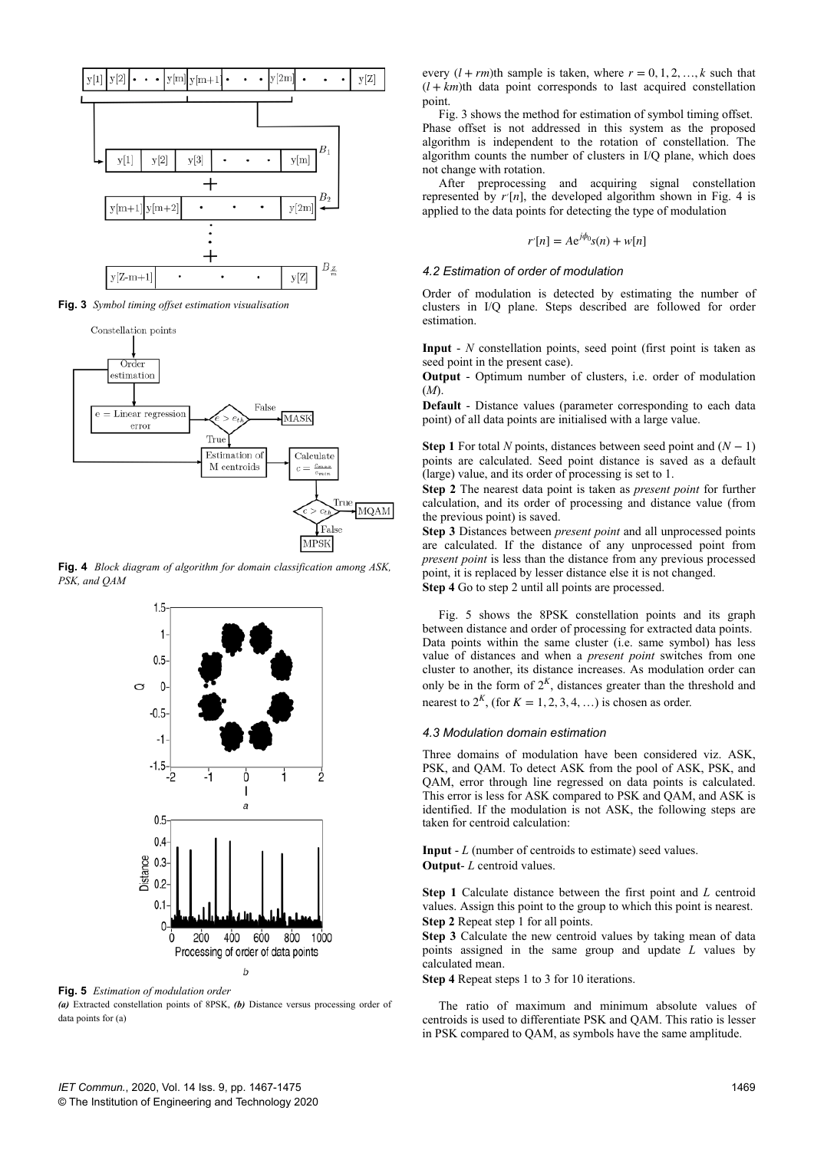

**Fig. 3** *Symbol timing offset estimation visualisation*



**Fig. 4** *Block diagram of algorithm for domain classification among ASK, PSK, and QAM*



**Fig. 5** *Estimation of modulation order*

*(a)* Extracted constellation points of 8PSK, *(b)* Distance versus processing order of data points for (a)

every  $(l + rm)$ th sample is taken, where  $r = 0, 1, 2, ..., k$  such that  $(l + km)$ th data point corresponds to last acquired constellation point.

Fig. 3 shows the method for estimation of symbol timing offset. Phase offset is not addressed in this system as the proposed algorithm is independent to the rotation of constellation. The algorithm counts the number of clusters in I/Q plane, which does not change with rotation.

After preprocessing and acquiring signal constellation represented by  $r'[n]$ , the developed algorithm shown in Fig. 4 is applied to the data points for detecting the type of modulation

$$
r'[n] = Ae^{j\phi_0} s(n) + w[n]
$$

#### *4.2 Estimation of order of modulation*

Order of modulation is detected by estimating the number of clusters in I/Q plane. Steps described are followed for order estimation.

**Input** - *N* constellation points, seed point (first point is taken as seed point in the present case).

**Output** - Optimum number of clusters, i.e. order of modulation (*M*).

**Default** - Distance values (parameter corresponding to each data point) of all data points are initialised with a large value.

**Step 1** For total *N* points, distances between seed point and  $(N - 1)$ points are calculated. Seed point distance is saved as a default (large) value, and its order of processing is set to 1.

**Step 2** The nearest data point is taken as *present point* for further calculation, and its order of processing and distance value (from the previous point) is saved.

**Step 3** Distances between *present point* and all unprocessed points are calculated. If the distance of any unprocessed point from *present point* is less than the distance from any previous processed point, it is replaced by lesser distance else it is not changed. **Step 4** Go to step 2 until all points are processed.

Fig. 5 shows the 8PSK constellation points and its graph between distance and order of processing for extracted data points. Data points within the same cluster (i.e. same symbol) has less value of distances and when a *present point* switches from one cluster to another, its distance increases. As modulation order can only be in the form of  $2<sup>K</sup>$ , distances greater than the threshold and nearest to  $2<sup>K</sup>$ , (for  $K = 1, 2, 3, 4, \ldots$ ) is chosen as order.

#### *4.3 Modulation domain estimation*

Three domains of modulation have been considered viz. ASK, PSK, and QAM. To detect ASK from the pool of ASK, PSK, and QAM, error through line regressed on data points is calculated. This error is less for ASK compared to PSK and QAM, and ASK is identified. If the modulation is not ASK, the following steps are taken for centroid calculation:

**Input** - *L* (number of centroids to estimate) seed values. **Output**- *L* centroid values.

**Step 1** Calculate distance between the first point and *L* centroid values. Assign this point to the group to which this point is nearest. **Step 2** Repeat step 1 for all points.

**Step 3** Calculate the new centroid values by taking mean of data points assigned in the same group and update *L* values by calculated mean.

**Step 4** Repeat steps 1 to 3 for 10 iterations.

The ratio of maximum and minimum absolute values of centroids is used to differentiate PSK and QAM. This ratio is lesser in PSK compared to QAM, as symbols have the same amplitude.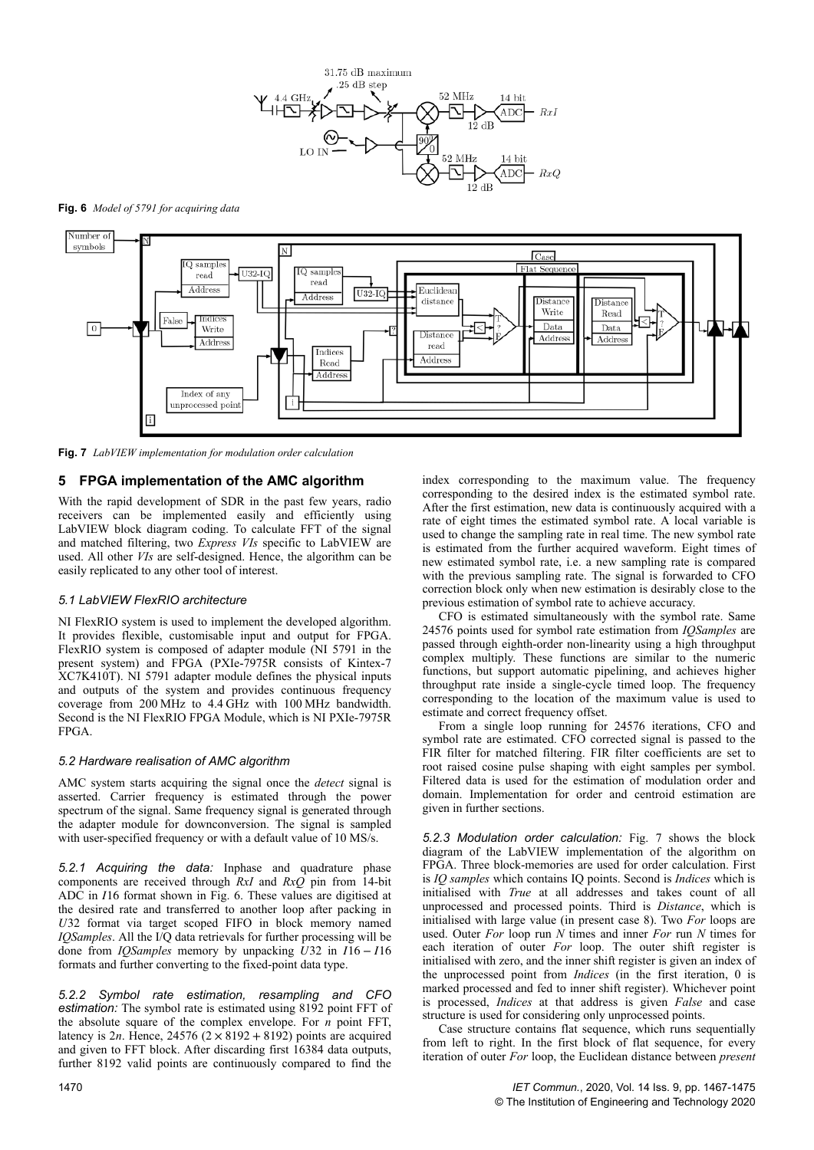

**Fig. 6** *Model of 5791 for acquiring data*



**Fig. 7** *LabVIEW implementation for modulation order calculation*

## **5 FPGA implementation of the AMC algorithm**

With the rapid development of SDR in the past few years, radio receivers can be implemented easily and efficiently using LabVIEW block diagram coding. To calculate FFT of the signal and matched filtering, two *Express VIs* specific to LabVIEW are used. All other *VIs* are self-designed. Hence, the algorithm can be easily replicated to any other tool of interest.

## *5.1 LabVIEW FlexRIO architecture*

NI FlexRIO system is used to implement the developed algorithm. It provides flexible, customisable input and output for FPGA. FlexRIO system is composed of adapter module (NI 5791 in the present system) and FPGA (PXIe-7975R consists of Kintex-7 XC7K410T). NI 5791 adapter module defines the physical inputs and outputs of the system and provides continuous frequency coverage from 200 MHz to 4.4 GHz with 100 MHz bandwidth. Second is the NI FlexRIO FPGA Module, which is NI PXIe-7975R FPGA.

#### *5.2 Hardware realisation of AMC algorithm*

AMC system starts acquiring the signal once the *detect* signal is asserted. Carrier frequency is estimated through the power spectrum of the signal. Same frequency signal is generated through the adapter module for downconversion. The signal is sampled with user-specified frequency or with a default value of 10 MS/s.

*5.2.1 Acquiring the data:* Inphase and quadrature phase components are received through *RxI* and *RxQ* pin from 14-bit ADC in *I*16 format shown in Fig. 6. These values are digitised at the desired rate and transferred to another loop after packing in *U*32 format via target scoped FIFO in block memory named *IQSamples*. All the I/Q data retrievals for further processing will be done from *IQSamples* memory by unpacking *U*32 in *I*16 − *I*16 formats and further converting to the fixed-point data type.

*5.2.2 Symbol rate estimation, resampling and CFO estimation:* The symbol rate is estimated using 8192 point FFT of the absolute square of the complex envelope. For *n* point FFT, latency is 2*n*. Hence, 24576  $(2 \times 8192 + 8192)$  points are acquired and given to FFT block. After discarding first 16384 data outputs, further 8192 valid points are continuously compared to find the

index corresponding to the maximum value. The frequency corresponding to the desired index is the estimated symbol rate. After the first estimation, new data is continuously acquired with a rate of eight times the estimated symbol rate. A local variable is used to change the sampling rate in real time. The new symbol rate is estimated from the further acquired waveform. Eight times of new estimated symbol rate, i.e. a new sampling rate is compared with the previous sampling rate. The signal is forwarded to CFO correction block only when new estimation is desirably close to the previous estimation of symbol rate to achieve accuracy.

CFO is estimated simultaneously with the symbol rate. Same 24576 points used for symbol rate estimation from *IQSamples* are passed through eighth-order non-linearity using a high throughput complex multiply. These functions are similar to the numeric functions, but support automatic pipelining, and achieves higher throughput rate inside a single-cycle timed loop. The frequency corresponding to the location of the maximum value is used to estimate and correct frequency offset.

From a single loop running for 24576 iterations, CFO and symbol rate are estimated. CFO corrected signal is passed to the FIR filter for matched filtering. FIR filter coefficients are set to root raised cosine pulse shaping with eight samples per symbol. Filtered data is used for the estimation of modulation order and domain. Implementation for order and centroid estimation are given in further sections.

*5.2.3 Modulation order calculation:* Fig. 7 shows the block diagram of the LabVIEW implementation of the algorithm on FPGA. Three block-memories are used for order calculation. First is *IQ samples* which contains IQ points. Second is *Indices* which is initialised with *True* at all addresses and takes count of all unprocessed and processed points. Third is *Distance*, which is initialised with large value (in present case 8). Two *For* loops are used. Outer *For* loop run *N* times and inner *For* run *N* times for each iteration of outer *For* loop. The outer shift register is initialised with zero, and the inner shift register is given an index of the unprocessed point from *Indices* (in the first iteration, 0 is marked processed and fed to inner shift register). Whichever point is processed, *Indices* at that address is given *False* and case structure is used for considering only unprocessed points.

Case structure contains flat sequence, which runs sequentially from left to right. In the first block of flat sequence, for every iteration of outer *For* loop, the Euclidean distance between *present*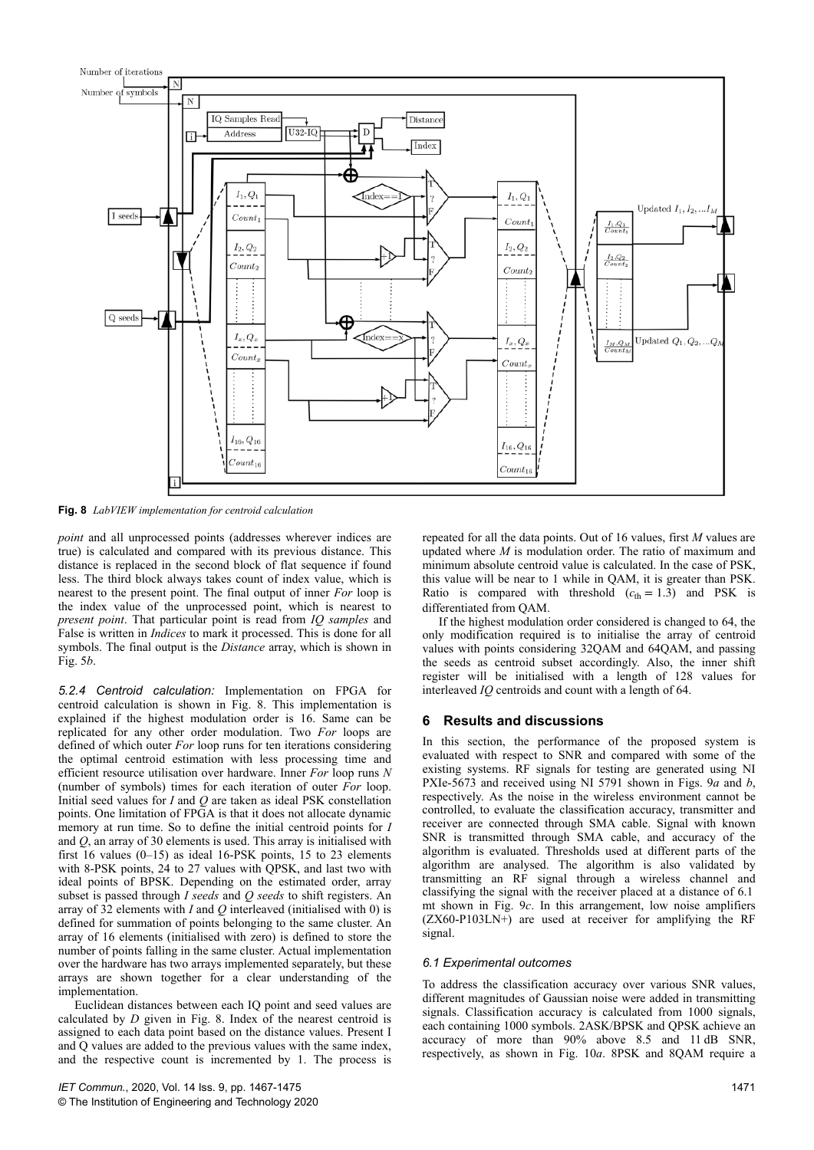

**Fig. 8** *LabVIEW implementation for centroid calculation*

*point* and all unprocessed points (addresses wherever indices are true) is calculated and compared with its previous distance. This distance is replaced in the second block of flat sequence if found less. The third block always takes count of index value, which is nearest to the present point. The final output of inner *For* loop is the index value of the unprocessed point, which is nearest to *present point*. That particular point is read from *IQ samples* and False is written in *Indices* to mark it processed. This is done for all symbols. The final output is the *Distance* array, which is shown in Fig. 5*b*.

*5.2.4 Centroid calculation:* Implementation on FPGA for centroid calculation is shown in Fig. 8. This implementation is explained if the highest modulation order is 16. Same can be replicated for any other order modulation. Two *For* loops are defined of which outer *For* loop runs for ten iterations considering the optimal centroid estimation with less processing time and efficient resource utilisation over hardware. Inner *For* loop runs *N* (number of symbols) times for each iteration of outer *For* loop. Initial seed values for *I* and *Q* are taken as ideal PSK constellation points. One limitation of  $F\tilde{PGA}$  is that it does not allocate dynamic memory at run time. So to define the initial centroid points for *I* and *Q*, an array of 30 elements is used. This array is initialised with first 16 values (0–15) as ideal 16-PSK points, 15 to 23 elements with 8-PSK points, 24 to 27 values with QPSK, and last two with ideal points of BPSK. Depending on the estimated order, array subset is passed through *I seeds* and *Q seeds* to shift registers. An array of 32 elements with *I* and *Q* interleaved (initialised with 0) is defined for summation of points belonging to the same cluster. An array of 16 elements (initialised with zero) is defined to store the number of points falling in the same cluster. Actual implementation over the hardware has two arrays implemented separately, but these arrays are shown together for a clear understanding of the implementation.

Euclidean distances between each IQ point and seed values are calculated by *D* given in Fig. 8. Index of the nearest centroid is assigned to each data point based on the distance values. Present I and Q values are added to the previous values with the same index, and the respective count is incremented by 1. The process is

repeated for all the data points. Out of 16 values, first *M* values are updated where *M* is modulation order. The ratio of maximum and minimum absolute centroid value is calculated. In the case of PSK, this value will be near to 1 while in QAM, it is greater than PSK. Ratio is compared with threshold  $(c_{th} = 1.3)$  and PSK is differentiated from QAM.

If the highest modulation order considered is changed to 64, the only modification required is to initialise the array of centroid values with points considering 32QAM and 64QAM, and passing the seeds as centroid subset accordingly. Also, the inner shift register will be initialised with a length of 128 values for interleaved *IQ* centroids and count with a length of 64.

# **6 Results and discussions**

In this section, the performance of the proposed system is evaluated with respect to SNR and compared with some of the existing systems. RF signals for testing are generated using NI PXIe-5673 and received using NI 5791 shown in Figs. 9*a* and *b*, respectively. As the noise in the wireless environment cannot be controlled, to evaluate the classification accuracy, transmitter and receiver are connected through SMA cable. Signal with known SNR is transmitted through SMA cable, and accuracy of the algorithm is evaluated. Thresholds used at different parts of the algorithm are analysed. The algorithm is also validated by transmitting an RF signal through a wireless channel and classifying the signal with the receiver placed at a distance of 6.1  mt shown in Fig. 9*c*. In this arrangement, low noise amplifiers (ZX60-P103LN+) are used at receiver for amplifying the RF signal.

## *6.1 Experimental outcomes*

To address the classification accuracy over various SNR values, different magnitudes of Gaussian noise were added in transmitting signals. Classification accuracy is calculated from 1000 signals, each containing 1000 symbols. 2ASK/BPSK and QPSK achieve an accuracy of more than 90% above 8.5 and 11 dB SNR, respectively, as shown in Fig. 10*a*. 8PSK and 8QAM require a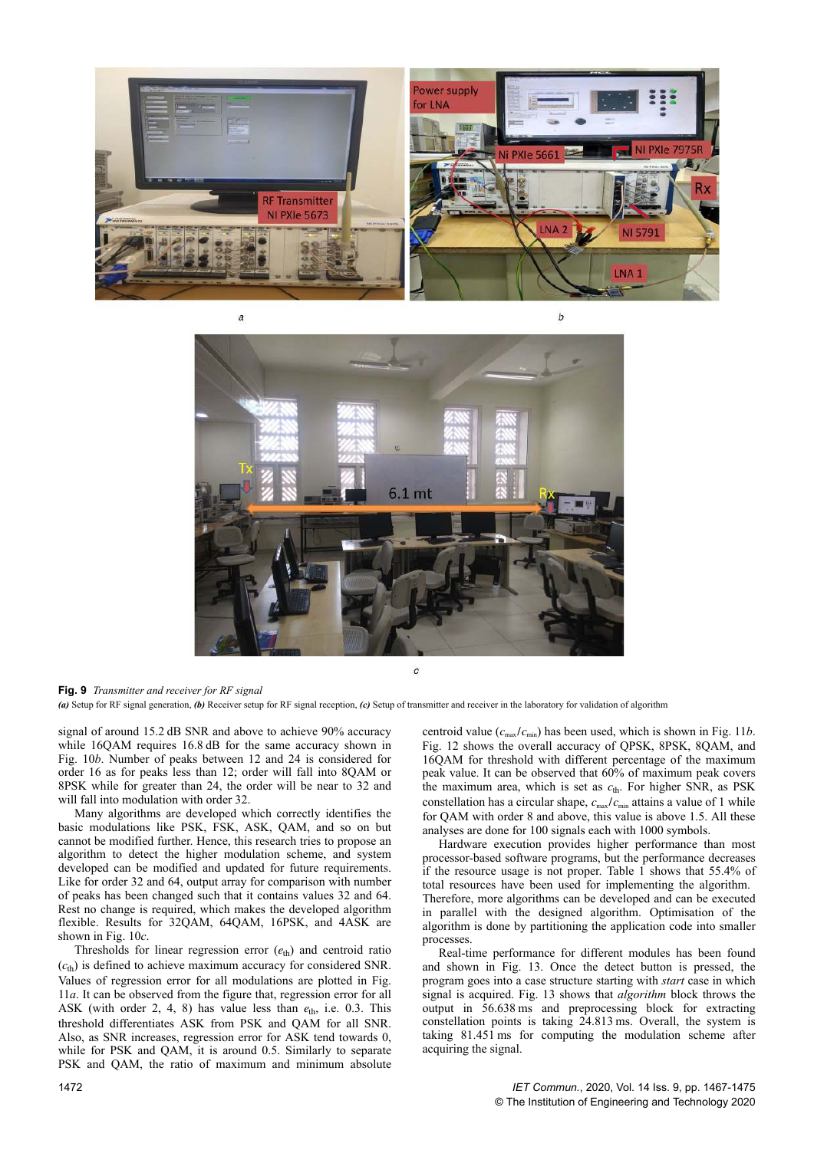



**Fig. 9** *Transmitter and receiver for RF signal*

*(a)* Setup for RF signal generation, *(b)* Receiver setup for RF signal reception, *(c)* Setup of transmitter and receiver in the laboratory for validation of algorithm

signal of around 15.2 dB SNR and above to achieve 90% accuracy while 16QAM requires 16.8 dB for the same accuracy shown in Fig. 10*b*. Number of peaks between 12 and 24 is considered for order 16 as for peaks less than 12; order will fall into 8QAM or 8PSK while for greater than 24, the order will be near to 32 and will fall into modulation with order 32.

Many algorithms are developed which correctly identifies the basic modulations like PSK, FSK, ASK, QAM, and so on but cannot be modified further. Hence, this research tries to propose an algorithm to detect the higher modulation scheme, and system developed can be modified and updated for future requirements. Like for order 32 and 64, output array for comparison with number of peaks has been changed such that it contains values 32 and 64. Rest no change is required, which makes the developed algorithm flexible. Results for 32QAM, 64QAM, 16PSK, and 4ASK are shown in Fig. 10*c*.

Thresholds for linear regression error (*e*th) and centroid ratio  $(c<sub>th</sub>)$  is defined to achieve maximum accuracy for considered SNR. Values of regression error for all modulations are plotted in Fig. 11*a*. It can be observed from the figure that, regression error for all ASK (with order 2, 4, 8) has value less than *e*th, i.e. 0.3. This threshold differentiates ASK from PSK and QAM for all SNR. Also, as SNR increases, regression error for ASK tend towards 0, while for PSK and QAM, it is around 0.5. Similarly to separate PSK and QAM, the ratio of maximum and minimum absolute centroid value  $(c_{\text{max}}/c_{\text{min}})$  has been used, which is shown in Fig. 11*b*. Fig. 12 shows the overall accuracy of QPSK, 8PSK, 8QAM, and 16QAM for threshold with different percentage of the maximum peak value. It can be observed that 60% of maximum peak covers the maximum area, which is set as  $c_{\text{th}}$ . For higher SNR, as PSK constellation has a circular shape,  $c_{\text{max}}/c_{\text{min}}$  attains a value of 1 while for QAM with order 8 and above, this value is above 1.5. All these analyses are done for 100 signals each with 1000 symbols.

Hardware execution provides higher performance than most processor-based software programs, but the performance decreases if the resource usage is not proper. Table  $1$  shows that 55.4% of total resources have been used for implementing the algorithm. Therefore, more algorithms can be developed and can be executed in parallel with the designed algorithm. Optimisation of the algorithm is done by partitioning the application code into smaller processes.

Real-time performance for different modules has been found and shown in Fig. 13. Once the detect button is pressed, the program goes into a case structure starting with *start* case in which signal is acquired. Fig. 13 shows that *algorithm* block throws the output in 56.638 ms and preprocessing block for extracting constellation points is taking 24.813 ms. Overall, the system is taking 81.451 ms for computing the modulation scheme after acquiring the signal.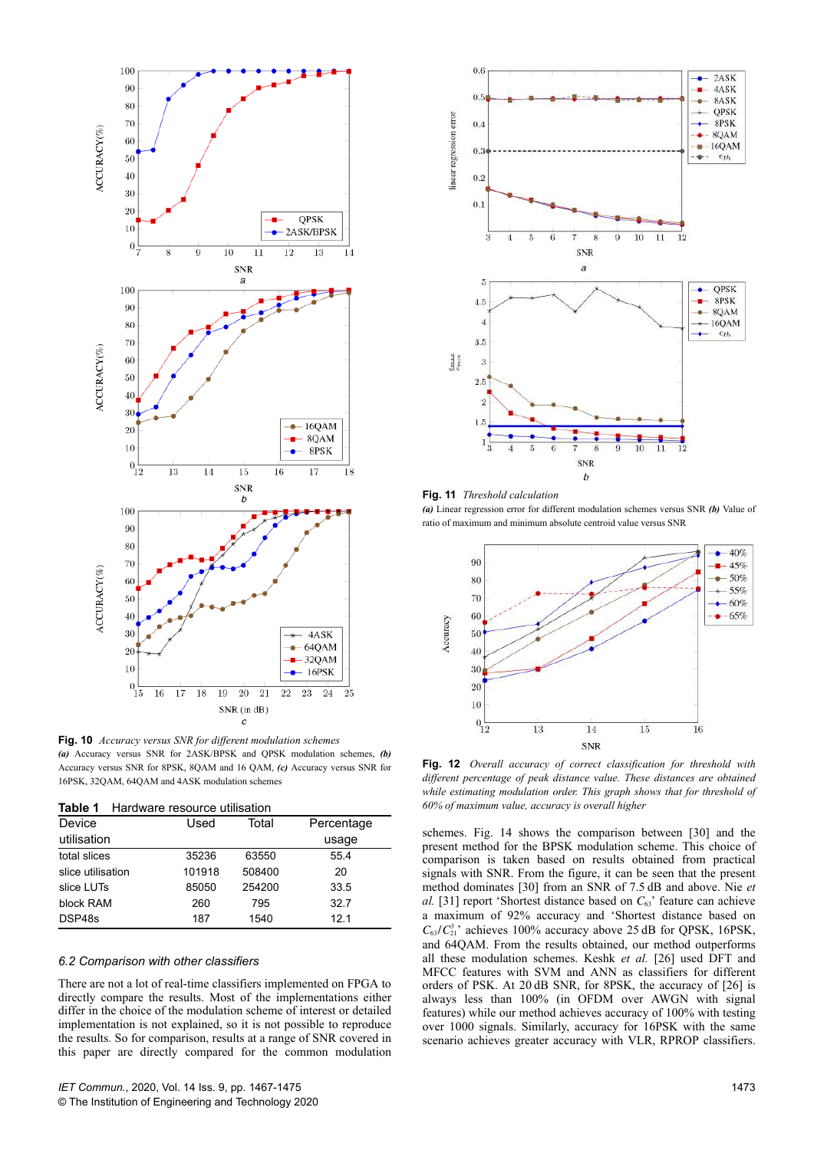

**Fig. 10** *Accuracy versus SNR for different modulation schemes (a)* Accuracy versus SNR for 2ASK/BPSK and QPSK modulation schemes, *(b)* Accuracy versus SNR for 8PSK, 8QAM and 16 QAM, *(c)* Accuracy versus SNR for 16PSK, 32QAM, 64QAM and 4ASK modulation schemes

| Device            | Used   | Total  | Percentage      |  |
|-------------------|--------|--------|-----------------|--|
| utilisation       |        |        | usage           |  |
| total slices      | 35236  | 63550  | 55.4            |  |
| slice utilisation | 101918 | 508400 | 20              |  |
| slice LUTs        | 85050  | 254200 | 33.5            |  |
| block RAM         | 260    | 795    | 32.7            |  |
| DSP48s            | 187    | 1540   | 12 <sub>1</sub> |  |

#### *6.2 Comparison with other classifiers*

There are not a lot of real-time classifiers implemented on FPGA to directly compare the results. Most of the implementations either differ in the choice of the modulation scheme of interest or detailed implementation is not explained, so it is not possible to reproduce the results. So for comparison, results at a range of SNR covered in this paper are directly compared for the common modulation



**Fig. 11** *Threshold calculation (a)* Linear regression error for different modulation schemes versus SNR *(b)* Value of ratio of maximum and minimum absolute centroid value versus SNR



**Fig. 12** *Overall accuracy of correct classification for threshold with different percentage of peak distance value. These distances are obtained while estimating modulation order. This graph shows that for threshold of* **Table 1** Hardware resource utilisation *60% of maximum value, accuracy is overall higher*

schemes. Fig. 14 shows the comparison between [30] and the present method for the BPSK modulation scheme. This choice of comparison is taken based on results obtained from practical signals with SNR. From the figure, it can be seen that the present method dominates [30] from an SNR of 7.5 dB and above. Nie *et al.* [31] report 'Shortest distance based on  $C_{63}$ ' feature can achieve a maximum of 92% accuracy and 'Shortest distance based on  $C_{63}/C_{21}^3$ ' achieves 100% accuracy above 25 dB for QPSK, 16PSK, and 64QAM. From the results obtained, our method outperforms all these modulation schemes. Keshk *et al.* [26] used DFT and MFCC features with SVM and ANN as classifiers for different orders of PSK. At 20 dB SNR, for 8PSK, the accuracy of [26] is always less than 100% (in OFDM over AWGN with signal features) while our method achieves accuracy of 100% with testing over 1000 signals. Similarly, accuracy for 16PSK with the same scenario achieves greater accuracy with VLR, RPROP classifiers.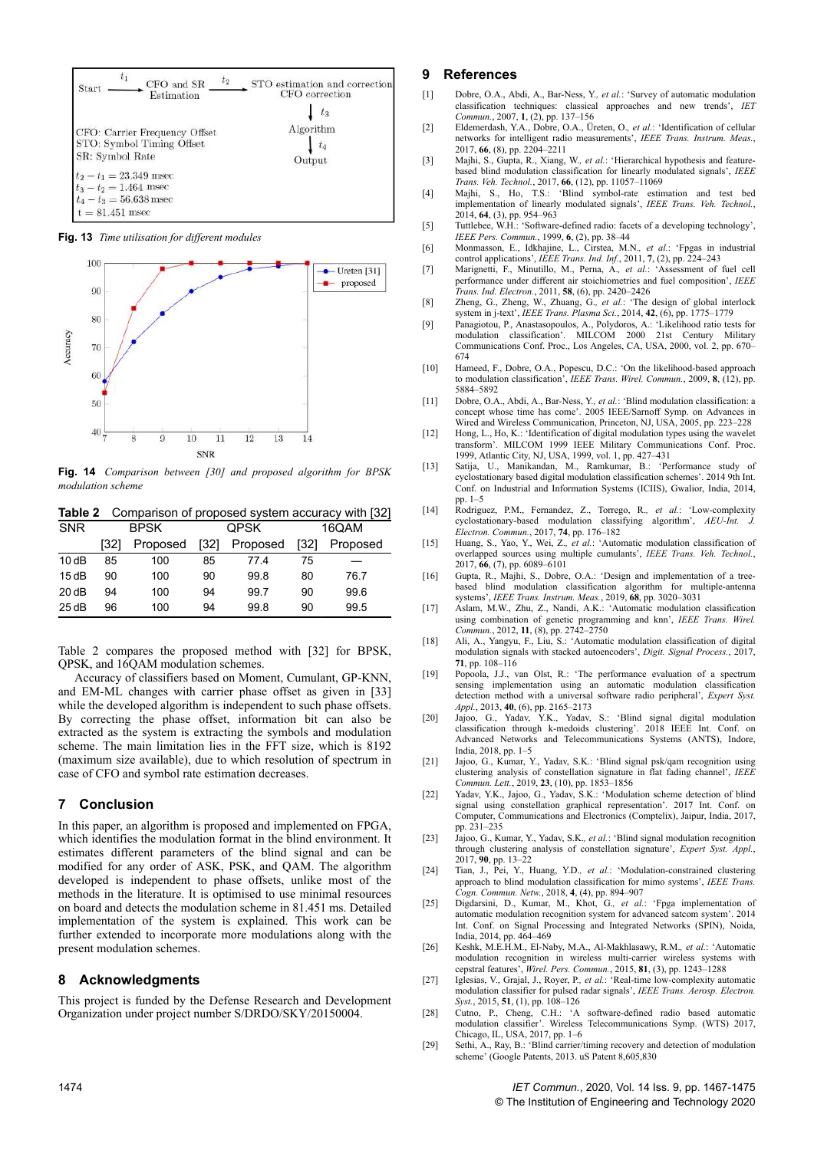

**Fig. 13** *Time utilisation for different modules*



**Fig. 14** *Comparison between [30] and proposed algorithm for BPSK modulation scheme*

**Table 2** Comparison of proposed system accuracy with [32]

| <b>SNR</b> | <b>BPSK</b> |          | <b>QPSK</b> |          | 16QAM |          |
|------------|-------------|----------|-------------|----------|-------|----------|
|            | [32]        | Proposed | [32]        | Proposed | [32]  | Proposed |
| 10dB       | 85          | 100      | 85          | 774      | 75    |          |
| 15dB       | 90          | 100      | 90          | 99.8     | 80    | 76.7     |
| 20 dB      | 94          | 100      | 94          | 99.7     | 90    | 99.6     |
| 25dB       | 96          | 100      | 94          | 99.8     | 90    | 99.5     |

Table 2 compares the proposed method with [32] for BPSK, QPSK, and 16QAM modulation schemes.

Accuracy of classifiers based on Moment, Cumulant, GP-KNN, and EM-ML changes with carrier phase offset as given in [33] while the developed algorithm is independent to such phase offsets. By correcting the phase offset, information bit can also be extracted as the system is extracting the symbols and modulation scheme. The main limitation lies in the FFT size, which is 8192 (maximum size available), due to which resolution of spectrum in case of CFO and symbol rate estimation decreases.

## **7 Conclusion**

In this paper, an algorithm is proposed and implemented on FPGA, which identifies the modulation format in the blind environment. It estimates different parameters of the blind signal and can be modified for any order of ASK, PSK, and QAM. The algorithm developed is independent to phase offsets, unlike most of the methods in the literature. It is optimised to use minimal resources on board and detects the modulation scheme in 81.451 ms. Detailed implementation of the system is explained. This work can be further extended to incorporate more modulations along with the present modulation schemes.

#### **8 Acknowledgments**

This project is funded by the Defense Research and Development Organization under project number S/DRDO/SKY/20150004.

#### **9 References**

- [1] Dobre, O.A., Abdi, A., Bar-Ness, Y.*, et al.*: 'Survey of automatic modulation classification techniques: classical approaches and new trends', *IET Commun.*, 2007, **1**, (2), pp. 137–156
- [2] Eldemerdash, Y.A., Dobre, O.A., Üreten, O.*, et al.*: 'Identification of cellular networks for intelligent radio measurements', *IEEE Trans. Instrum. Meas.*, 2017, **66**, (8), pp. 2204–2211
- [3] Majhi, S., Gupta, R., Xiang, W.*, et al.*: 'Hierarchical hypothesis and featurebased blind modulation classification for linearly modulated signals', *IEEE Trans. Veh. Technol.*, 2017, **66**, (12), pp. 11057–11069
- [4] Majhi, S., Ho, T.S.: 'Blind symbol-rate estimation and test bed implementation of linearly modulated signals', *IEEE Trans. Veh. Technol.*, 2014, **64**, (3), pp. 954–963
- [5] Tuttlebee, W.H.: 'Software-defined radio: facets of a developing technology', *IEEE Pers. Commun.*, 1999, **6**, (2), pp. 38–44
- [6] Monmasson, E., Idkhajine, L., Cirstea, M.N.*, et al.*: 'Fpgas in industrial control applications', *IEEE Trans. Ind. Inf.*, 2011, **7**, (2), pp. 224–243
- [7] Marignetti, F., Minutillo, M., Perna, A.*, et al.*: 'Assessment of fuel cell performance under different air stoichiometries and fuel composition', *IEEE Trans. Ind. Electron.*, 2011, **58**, (6), pp. 2420–2426
- [8] Zheng, G., Zheng, W., Zhuang, G.*, et al.*: 'The design of global interlock system in j-text', *IEEE Trans. Plasma Sci.*, 2014, **42**, (6), pp. 1775–1779
- [9] Panagiotou, P., Anastasopoulos, A., Polydoros, A.: 'Likelihood ratio tests for modulation classification'. MILCOM 2000 21st Century Military Communications Conf. Proc., Los Angeles, CA, USA, 2000, vol. 2, pp. 670– 674
- [10] Hameed, F., Dobre, O.A., Popescu, D.C.: 'On the likelihood-based approach to modulation classification', *IEEE Trans. Wirel. Commun.*, 2009, **8**, (12), pp. 5884–5892
- [11] Dobre, O.A., Abdi, A., Bar-Ness, Y.*, et al.*: 'Blind modulation classification: a concept whose time has come'. 2005 IEEE/Sarnoff Symp. on Advances in Wired and Wireless Communication, Princeton, NJ, USA, 2005, pp. 223–228
- [12] Hong, L., Ho, K.: 'Identification of digital modulation types using the wavelet transform'. MILCOM 1999 IEEE Military Communications Conf. Proc. 1999, Atlantic City, NJ, USA, 1999, vol. 1, pp. 427–431
- [13] Satija, U., Manikandan, M., Ramkumar, B.: 'Performance study of cyclostationary based digital modulation classification schemes'. 2014 9th Int. Conf. on Industrial and Information Systems (ICIIS), Gwalior, India, 2014,
- pp. 1–5 [14] Rodriguez, P.M., Fernandez, Z., Torrego, R.*, et al.*: 'Low-complexity cyclostationary-based modulation classifying algorithm', *AEU-Int*. *Electron. Commun.*, 2017, **74**, pp. 176–182
- [15] Huang, S., Yao, Y., Wei, Z.*, et al.*: 'Automatic modulation classification of overlapped sources using multiple cumulants', *IEEE Trans. Veh. Technol.*, 2017, **66**, (7), pp. 6089–6101
- [16] Gupta, R., Majhi, S., Dobre, O.A.: 'Design and implementation of a treebased blind modulation classification algorithm for multiple-antenna systems', *IEEE Trans. Instrum. Meas.*, 2019, **68**, pp. 3020–3031
- [17] Aslam, M.W., Zhu, Z., Nandi, A.K.: 'Automatic modulation classification using combination of genetic programming and knn', *IEEE Trans. Wirel. Commun.*, 2012, **11**, (8), pp. 2742–2750
- [18] Ali, A., Yangyu, F., Liu, S.: 'Automatic modulation classification of digital modulation signals with stacked autoencoders', *Digit. Signal Process.*, 2017, **71**, pp. 108–116
- [19] Popoola, J.J., van Olst, R.: 'The performance evaluation of a spectrum sensing implementation using an automatic modulation classification detection method with a universal software radio peripheral', *Expert Syst. Appl.*, 2013, **40**, (6), pp. 2165–2173
- [20] Jajoo, G., Yadav, Y.K., Yadav, S.: 'Blind signal digital modulation classification through k-medoids clustering'. 2018 IEEE Int. Conf. on Advanced Networks and Telecommunications Systems (ANTS), Indore, India, 2018, pp. 1–5
- [21] Jajoo, G., Kumar, Y., Yadav, S.K.: 'Blind signal psk/qam recognition using clustering analysis of constellation signature in flat fading channel', *IEEE Commun. Lett.*, 2019, **23**, (10), pp. 1853–1856
- [22] Yadav, Y.K., Jajoo, G., Yadav, S.K.: 'Modulation scheme detection of blind signal using constellation graphical representation'. 2017 Int. Conf. on Computer, Communications and Electronics (Comptelix), Jaipur, India, 2017, pp. 231–235
- [23] Jajoo, G., Kumar, Y., Yadav, S.K.*, et al.*: 'Blind signal modulation recognition through clustering analysis of constellation signature', *Expert Syst. Appl.*, 2017, **90**, pp. 13–22
- [24] Tian, J., Pei, Y., Huang, Y.D.*, et al.*: 'Modulation-constrained clustering approach to blind modulation classification for mimo systems', *IEEE Trans. Cogn. Commun. Netw.*, 2018, **4**, (4), pp. 894–907
- [25] Digdarsini, D., Kumar, M., Khot, G.*, et al.*: 'Fpga implementation of automatic modulation recognition system for advanced satcom system'. 2014 Int. Conf. on Signal Processing and Integrated Networks (SPIN), Noida, India, 2014, pp. 464–469
- [26] Keshk, M.E.H.M., El-Naby, M.A., Al-Makhlasawy, R.M.*, et al.*: 'Automatic modulation recognition in wireless multi-carrier wireless systems with cepstral features', *Wirel. Pers. Commun.*, 2015, **81**, (3), pp. 1243–1288
- [27] Iglesias, V., Grajal, J., Royer, P.*, et al.*: 'Real-time low-complexity automatic modulation classifier for pulsed radar signals', *IEEE Trans. Aerosp. Electron. Syst.*, 2015, **51**, (1), pp. 108–126
- [28] Cutno, P., Cheng, C.H.: 'A software-defined radio based automatic modulation classifier'. Wireless Telecommunications Symp. (WTS) 2017, Chicago, IL, USA, 2017, pp. 1–6
- [29] Sethi, A., Ray, B.: 'Blind carrier/timing recovery and detection of modulation scheme' (Google Patents, 2013. uS Patent 8,605,830